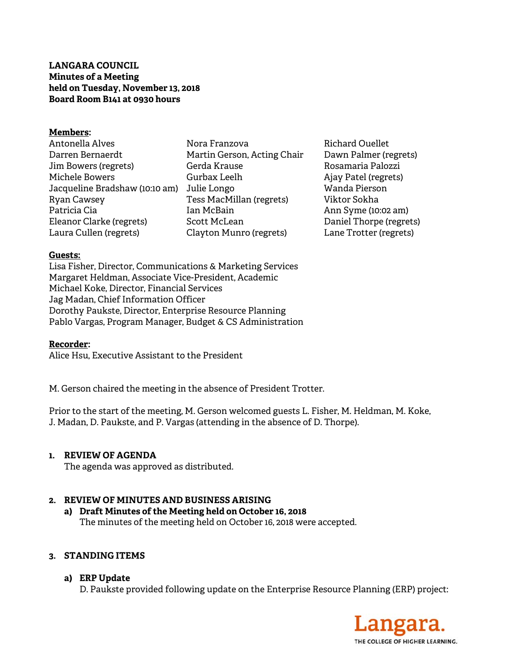# **LANGARA COUNCIL Minutes of a Meeting held on Tuesday, November 13, 2018 Board Room B141 at 0930 hours**

## **Members:**

- Antonella Alves Darren Bernaerdt Jim Bowers (regrets) Michele Bowers Jacqueline Bradshaw (10:10 am) Julie Longo Ryan Cawsey Patricia Cia Eleanor Clarke (regrets) Laura Cullen (regrets) Nora Franzova Martin Gerson, Acting Chair Gerda Krause Gurbax Leelh Tess MacMillan (regrets) Ian McBain Scott McLean Clayton Munro (regrets)
- Richard Ouellet Dawn Palmer (regrets) Rosamaria Palozzi Ajay Patel (regrets) Wanda Pierson Viktor Sokha Ann Syme (10:02 am) Daniel Thorpe (regrets) Lane Trotter (regrets)

## **Guests:**

Lisa Fisher, Director, Communications & Marketing Services Margaret Heldman, Associate Vice-President, Academic Michael Koke, Director, Financial Services Jag Madan, Chief Information Officer Dorothy Paukste, Director, Enterprise Resource Planning Pablo Vargas, Program Manager, Budget & CS Administration

#### **Recorder:**

Alice Hsu, Executive Assistant to the President

M. Gerson chaired the meeting in the absence of President Trotter.

Prior to the start of the meeting, M. Gerson welcomed guests L. Fisher, M. Heldman, M. Koke, J. Madan, D. Paukste, and P. Vargas (attending in the absence of D. Thorpe).

# **1. REVIEW OF AGENDA**

The agenda was approved as distributed.

# **2. REVIEW OF MINUTES AND BUSINESS ARISING**

**a) Draft Minutes of the Meeting held on October 16, 2018**  The minutes of the meeting held on October 16, 2018 were accepted.

#### **3. STANDING ITEMS**

**a) ERP Update** 

D. Paukste provided following update on the Enterprise Resource Planning (ERP) project:

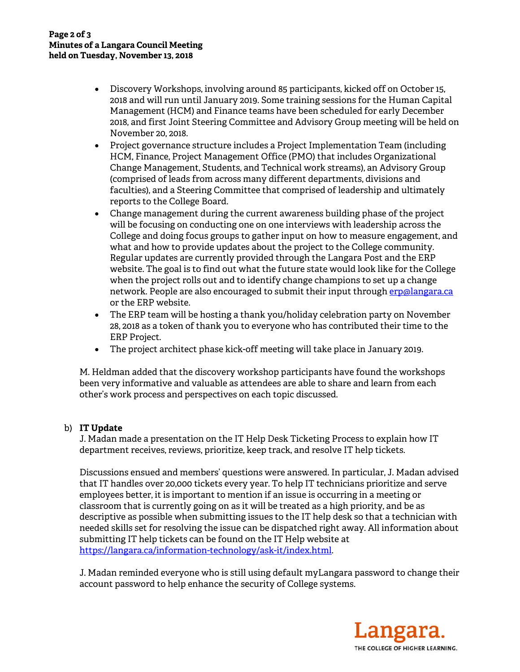- Discovery Workshops, involving around 85 participants, kicked off on October 15, 2018 and will run until January 2019. Some training sessions for the Human Capital Management (HCM) and Finance teams have been scheduled for early December 2018, and first Joint Steering Committee and Advisory Group meeting will be held on November 20, 2018.
- Project governance structure includes a Project Implementation Team (including HCM, Finance, Project Management Office (PMO) that includes Organizational Change Management, Students, and Technical work streams), an Advisory Group (comprised of leads from across many different departments, divisions and faculties), and a Steering Committee that comprised of leadership and ultimately reports to the College Board.
- Change management during the current awareness building phase of the project will be focusing on conducting one on one interviews with leadership across the College and doing focus groups to gather input on how to measure engagement, and what and how to provide updates about the project to the College community. Regular updates are currently provided through the Langara Post and the ERP website. The goal is to find out what the future state would look like for the College when the project rolls out and to identify change champions to set up a change network. People are also encouraged to submit their input through erp@langara.ca or the ERP website.
- The ERP team will be hosting a thank you/holiday celebration party on November 28, 2018 as a token of thank you to everyone who has contributed their time to the ERP Project.
- The project architect phase kick-off meeting will take place in January 2019.

M. Heldman added that the discovery workshop participants have found the workshops been very informative and valuable as attendees are able to share and learn from each other's work process and perspectives on each topic discussed.

# b) **IT Update**

J. Madan made a presentation on the IT Help Desk Ticketing Process to explain how IT department receives, reviews, prioritize, keep track, and resolve IT help tickets.

Discussions ensued and members' questions were answered. In particular, J. Madan advised that IT handles over 20,000 tickets every year. To help IT technicians prioritize and serve employees better, it is important to mention if an issue is occurring in a meeting or classroom that is currently going on as it will be treated as a high priority, and be as descriptive as possible when submitting issues to the IT help desk so that a technician with needed skills set for resolving the issue can be dispatched right away. All information about submitting IT help tickets can be found on the IT Help website at https://langara.ca/information-technology/ask-it/index.html.

J. Madan reminded everyone who is still using default myLangara password to change their account password to help enhance the security of College systems.